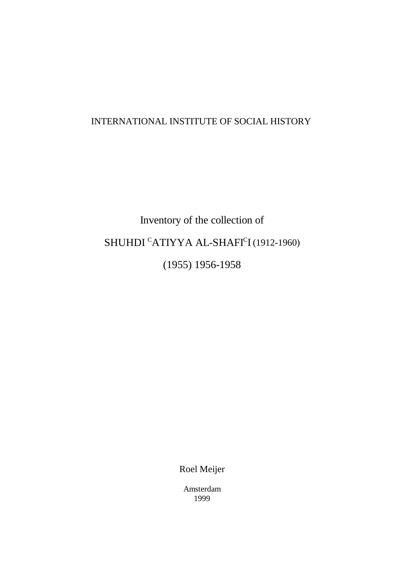# INTERNATIONAL INSTITUTE OF SOCIAL HISTORY

# Inventory of the collection of SHUHDI  $\mathrm{c}$ ATIYYA AL-SHAFI $\mathrm{c}$ I (1912-1960) (1955) 1956-1958

Roel Meijer

Amsterdam 1999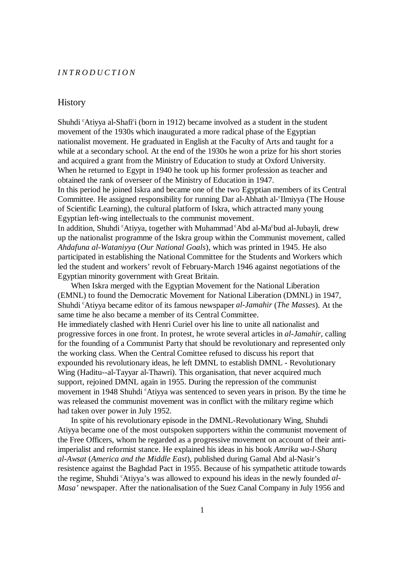#### *INTRODUCTION*

#### **History**

Shuhdi <sup>c</sup>Atiyya al-Shafi<sup>c</sup>i (born in 1912) became involved as a student in the student movement of the 1930s which inaugurated a more radical phase of the Egyptian nationalist movement. He graduated in English at the Faculty of Arts and taught for a while at a secondary school. At the end of the 1930s he won a prize for his short stories and acquired a grant from the Ministry of Education to study at Oxford University. When he returned to Egypt in 1940 he took up his former profession as teacher and obtained the rank of overseer of the Ministry of Education in 1947.

In this period he joined Iskra and became one of the two Egyptian members of its Central Committee. He assigned responsibility for running Dar al-Abhath al-*<sup>c</sup>Ilmiyya* (The House of Scientific Learning), the cultural platform of Iskra, which attracted many young Egyptian left-wing intellectuals to the communist movement.

In addition, Shuhdi <sup>c</sup>Atiyya, together with Muhammad <sup>c</sup>Abd al-Ma <sup>c</sup>bud al-Jubayli, drew up the nationalist programme of the Iskra group within the Communist movement, called *Ahdafuna al-Wataniyya* (*Our National Goals*), which was printed in 1945. He also participated in establishing the National Committee for the Students and Workers which led the student and workers' revolt of February-March 1946 against negotiations of the Egyptian minority government with Great Britain.

When Iskra merged with the Egyptian Movement for the National Liberation (EMNL) to found the Democratic Movement for National Liberation (DMNL) in 1947, Shuhdi <sup>c</sup>Atiyya became editor of its famous newspaper *al-Jamahir* (*The Masses*). At the same time he also became a member of its Central Committee.

He immediately clashed with Henri Curiel over his line to unite all nationalist and progressive forces in one front. In protest, he wrote several articles in *al-Jamahir*, calling for the founding of a Communist Party that should be revolutionary and represented only the working class. When the Central Comittee refused to discuss his report that expounded his revolutionary ideas, he left DMNL to establish DMNL - Revolutionary Wing (Haditu--al-Tayyar al-Thawri). This organisation, that never acquired much support, rejoined DMNL again in 1955. During the repression of the communist movement in 1948 Shuhdi <sup>c</sup>Atiyya was sentenced to seven years in prison. By the time he was released the communist movement was in conflict with the military regime which had taken over power in July 1952.

In spite of his revolutionary episode in the DMNL-Revolutionary Wing, Shuhdi Atiyya became one of the most outspoken supporters within the communist movement of the Free Officers, whom he regarded as a progressive movement on account of their antiimperialist and reformist stance. He explained his ideas in his book *Amrika wa-l-Sharq al-Awsat* (*America and the Middle East*), published during Gamal Abd al-Nasir's resistence against the Baghdad Pact in 1955. Because of his sympathetic attitude towards the regime, Shuhdi <sup>c</sup>Atiyya's was allowed to expound his ideas in the newly founded *al*-*Masa'* newspaper. After the nationalisation of the Suez Canal Company in July 1956 and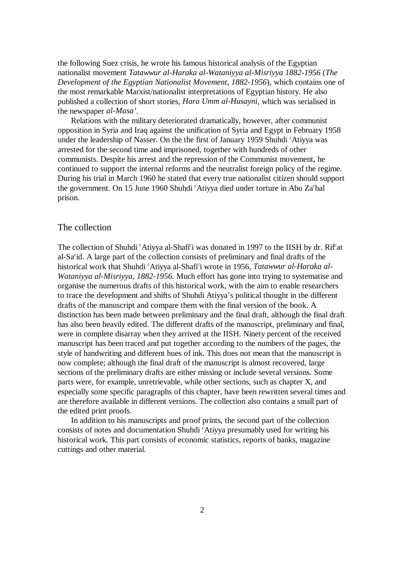the following Suez crisis, he wrote his famous historical analysis of the Egyptian nationalist movement *Tatawwur al-Haraka al-Wataniyya al-Misriyya 1882-1956* (*The Development of the Egyptian Nationalist Movement*, *1882-1956*), which contains one of the most remarkable Marxist/nationalist interpretations of Egyptian history. He also published a collection of short stories, *Hara Umm al-Husayni*, which was serialised in the newspaper *al-Masa'*.

Relations with the military deteriorated dramatically, however, after communist opposition in Syria and Iraq against the unification of Syria and Egypt in February 1958 under the leadership of Nasser. On the the first of January 1959 Shuhdi 'Atiyya was arrested for the second time and imprisoned, together with hundreds of other communists. Despite his arrest and the repression of the Communist movement, he continued to support the internal reforms and the neutralist foreign policy of the regime. During his trial in March 1960 he stated that every true nationalist citizen should support the government. On 15 June 1960 Shuhdi 'Atiyya died under torture in Abu Za bal prison.

#### The collection

The collection of Shuhdi 'Atiyya al-Shafi'i was donated in 1997 to the IISH by dr. Rif<sup>tat</sup> al-Sa<sup>c</sup>id. A large part of the collection consists of preliminary and final drafts of the historical work that Shuhdi <sup>c</sup>Atiyya al-Shafi<sup>c</sup>i wrote in 1956, *Tatawwur al-Haraka al-Wataniyya al-Misriyya, 1882-1956*. Much effort has gone into trying to systematise and organise the numerous drafts of this historical work, with the aim to enable researchers to trace the development and shifts of Shuhdi Atiyya's political thought in the different drafts of the manuscript and compare them with the final version of the book. A distinction has been made between preliminary and the final draft, although the final draft has also been heavily edited. The different drafts of the manuscript, preliminary and final, were in complete disarray when they arrived at the IISH. Ninety percent of the received manuscript has been traced and put together according to the numbers of the pages, the style of handwriting and different hues of ink. This does not mean that the manuscript is now complete; although the final draft of the manuscript is almost recovered, large sections of the preliminary drafts are either missing or include several versions. Some parts were, for example, unretrievable, while other sections, such as chapter X, and especially some specific paragraphs of this chapter, have been rewritten several times and are therefore available in different versions. The collection also contains a small part of the edited print proofs.

In addition to his manuscripts and proof prints, the second part of the collection consists of notes and documentation Shuhdi 'Atiyya presumably used for writing his historical work. This part consists of economic statistics, reports of banks, magazine cuttings and other material.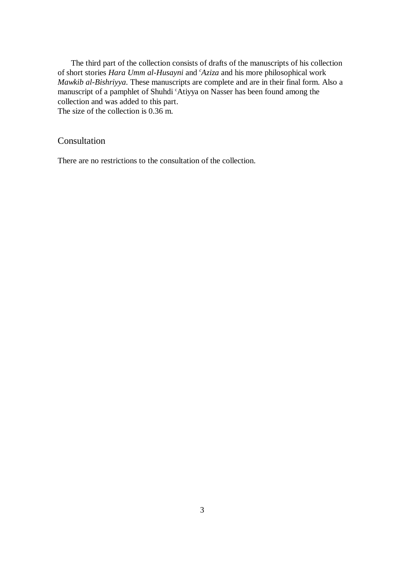The third part of the collection consists of drafts of the manuscripts of his collection of short stories *Hara Umm al-Husayni* and <sup>*c*</sup>Aziza and his more philosophical work *Mawkib al-Bishriyya*. These manuscripts are complete and are in their final form. Also a manuscript of a pamphlet of Shuhdi 'Atiyya on Nasser has been found among the collection and was added to this part.

The size of the collection is  $0.36 \text{ m}$ .

## Consultation

There are no restrictions to the consultation of the collection.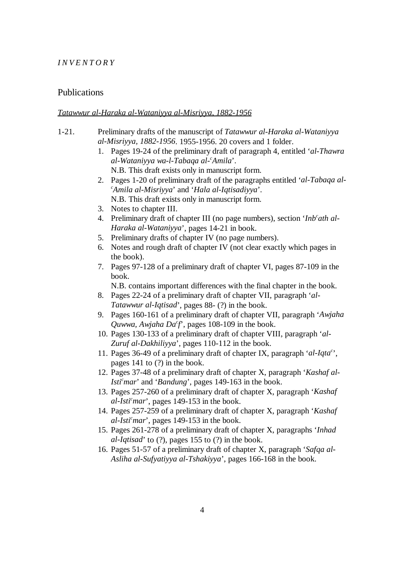#### *INVENTORY*

#### Publications

#### *Tatawwur al-Haraka al-Wataniyya al-Misriyya, 1882-1956*

- 1-21. Preliminary drafts of the manuscript of *Tatawwur al-Haraka al-Wataniyya al-Misriyya, 1882-1956*. 1955-1956. 20 covers and 1 folder.
	- 1. Pages 19-24 of the preliminary draft of paragraph 4, entitled '*al-Thawra al-Wataniyya wa-l-Tabaqa al- Amila*'. *<sup>c</sup>* N.B. This draft exists only in manuscript form.
	- 2. Pages 1-20 of preliminary draft of the paragraphs entitled '*al-Tabaqa al-Amila al-Misriyya*' and '*Hala al-Iqtisadiyya*'. *<sup>c</sup>* N.B. This draft exists only in manuscript form.
	- 3. Notes to chapter III.
	- 4. Preliminary draft of chapter III (no page numbers), section '*Inb ath al- <sup>c</sup> Haraka al-Wataniyya*', pages 14-21 in book.
	- 5. Preliminary drafts of chapter IV (no page numbers).
	- 6. Notes and rough draft of chapter IV (not clear exactly which pages in the book).
	- 7. Pages 97-128 of a preliminary draft of chapter VI, pages 87-109 in the book.

N.B. contains important differences with the final chapter in the book.

- 8. Pages 22-24 of a preliminary draft of chapter VII, paragraph '*al-Tatawwur al-Iqtisad*', pages 88- (?) in the book.
- 9. Pages 160-161 of a preliminary draft of chapter VII, paragraph '*Awjaha Quwwa, Awjaha Da<sup>c</sup>f*<sup>'</sup>, pages 108-109 in the book.
- 10. Pages 130-133 of a preliminary draft of chapter VIII, paragraph '*al-Zuruf al-Dakhiliyya*', pages 110-112 in the book.
- 11. Pages 36-49 of a preliminary draft of chapter IX, paragraph '*al-Iqta*<sup>c'</sup>, pages 141 to (?) in the book.
- 12. Pages 37-48 of a preliminary draft of chapter X, paragraph '*Kashaf al-Isti<sup>c</sup>mar*' and '*Bandung*', pages 149-163 in the book.
- 13. Pages 257-260 of a preliminary draft of chapter X, paragraph '*Kashaf*  $al\text{-}Isti<sup>c</sup>mar$ , pages 149-153 in the book.
- 14. Pages 257-259 of a preliminary draft of chapter X, paragraph '*Kashaf*  $al\text{-}Isti<sup>c</sup>mar$ , pages 149-153 in the book.
- 15. Pages 261-278 of a preliminary draft of chapter X, paragraphs '*Inhad al-Iqtisad*' to (?), pages 155 to (?) in the book.
- 16. Pages 51-57 of a preliminary draft of chapter X, paragraph '*Safqa al-Asliha al-Sufyatiyya al-Tshakiyya*', pages 166-168 in the book.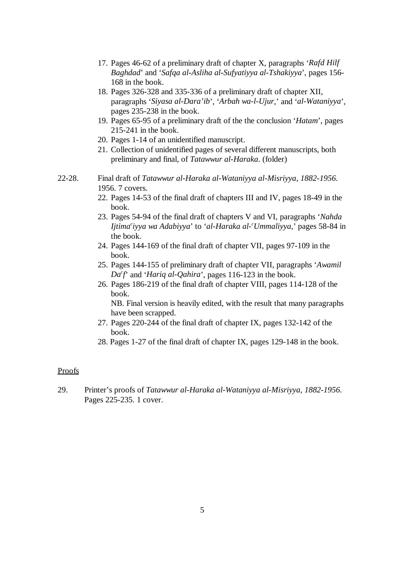- 17. Pages 46-62 of a preliminary draft of chapter X, paragraphs '*Rafd Hilf Baghdad*' and '*Safqa al-Asliha al-Sufyatiyya al-Tshakiyya*', pages 156- 168 in the book.
- 18. Pages 326-328 and 335-336 of a preliminary draft of chapter XII, paragraphs '*Siyasa al-Dara'ib*', '*Arbah wa-l-Ujur*,' and '*al-Wataniyya*', pages 235-238 in the book.
- 19. Pages 65-95 of a preliminary draft of the the conclusion '*Hatam*', pages 215-241 in the book.
- 20. Pages 1-14 of an unidentified manuscript.
- 21. Collection of unidentified pages of several different manuscripts, both preliminary and final, of *Tatawwur al-Haraka*. (folder)
- 22-28. Final draft of *Tatawwur al-Haraka al-Wataniyya al-Misriyya, 1882-1956*. 1956. 7 covers.
	- 22. Pages 14-53 of the final draft of chapters III and IV, pages 18-49 in the book.
	- 23. Pages 54-94 of the final draft of chapters V and VI, paragraphs '*Nahda Ijtima* iyya wa Adabiyya' to 'al-Haraka al-'Ummaliyya,' pages 58-84 in the book.
	- 24. Pages 144-169 of the final draft of chapter VII, pages 97-109 in the book.
	- 25. Pages 144-155 of preliminary draft of chapter VII, paragraphs '*Awamil*  $Da<sup>c</sup>f'$  and '*Hariq al-Qahira*', pages 116-123 in the book.
	- 26. Pages 186-219 of the final draft of chapter VIII, pages 114-128 of the book.

NB. Final version is heavily edited, with the result that many paragraphs have been scrapped.

- 27. Pages 220-244 of the final draft of chapter IX, pages 132-142 of the book.
- 28. Pages 1-27 of the final draft of chapter IX, pages 129-148 in the book.

#### Proofs

29. Printer's proofs of *Tatawwur al-Haraka al-Wataniyya al-Misriyya, 1882-1956*. Pages 225-235. 1 cover.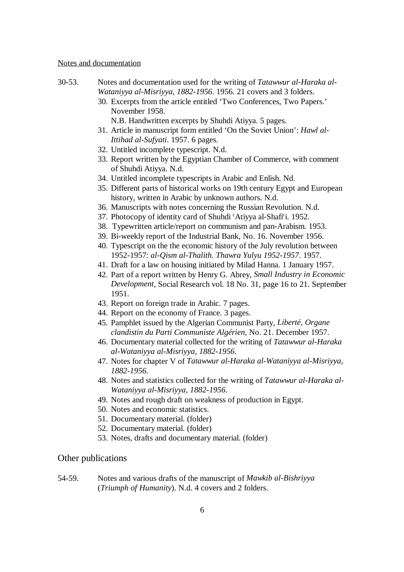#### Notes and documentation

- 30-53. Notes and documentation used for the writing of *Tatawwur al-Haraka al-Wataniyya al-Misriyya, 1882-1956*. 1956. 21 covers and 3 folders.
	- 30. Excerpts from the article entitled 'Two Conferences, Two Papers.' November 1958.

N.B. Handwritten excerpts by Shuhdi Atiyya. 5 pages.

- 31. Article in manuscript form entitled 'On the Soviet Union': *Hawl al-Ittihad al-Sufyati*. 1957. 6 pages.
- 32. Untitled incomplete typescript. N.d.
- 33. Report written by the Egyptian Chamber of Commerce, with comment of Shuhdi Atiyya. N.d.
- 34. Untitled incomplete typescripts in Arabic and Enlish. Nd.
- 35. Different parts of historical works on 19th century Egypt and European history, written in Arabic by unknown authors. N.d.
- 36. Manuscripts with notes concerning the Russian Revolution. N.d.
- 37. Photocopy of identity card of Shuhdi <sup>c</sup>Atiyya al-Shafi<sup>c</sup>i. 1952.
- 38. Typewritten article/report on communism and pan-Arabism. 1953.
- 39. Bi-weekly report of the Industrial Bank, No. 16. November 1956.
- 40. Typescript on the the economic history of the July revolution between 1952-1957: *al-Qism al-Thalith. Thawra Yulyu 1952-1957*. 1957.
- 41. Draft for a law on housing initiated by Milad Hanna. 1 January 1957.
- 42. Part of a report written by Henry G. Abrey, *Small Industry in Economic Development*, Social Research vol. 18 No. 31, page 16 to 21. September 1951.
- 43. Report on foreign trade in Arabic. 7 pages.
- 44. Report on the economy of France. 3 pages.
- 45. Pamphlet issued by the Algerian Communist Party, *Liberté, Organe clandistin du Parti Communiste Algérien*, No. 21. December 1957.
- 46. Documentary material collected for the writing of *Tatawwur al-Haraka al-Wataniyya al-Misriyya, 1882-1956.*
- 47. Notes for chapter V of *Tatawwur al-Haraka al-Wataniyya al-Misriyya, 1882-1956*.
- 48. Notes and statistics collected for the writing of *Tatawwur al-Haraka al-Wataniyya al-Misriyya, 1882-1956*.
- 49. Notes and rough draft on weakness of production in Egypt.
- 50. Notes and economic statistics.
- 51. Documentary material. (folder)
- 52. Documentary material. (folder)
- 53. Notes, drafts and documentary material. (folder)

#### Other publications

54-59. Notes and various drafts of the manuscript of *Mawkib al-Bishriyya* (*Triumph of Humanity*). N.d. 4 covers and 2 folders.